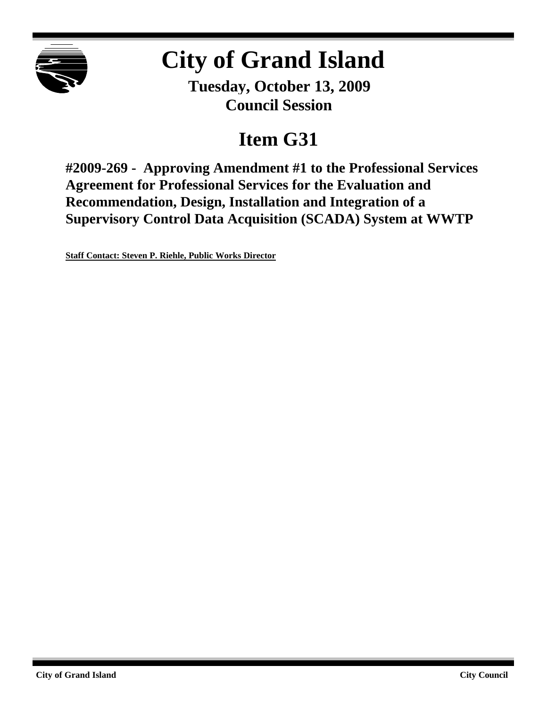

# **City of Grand Island**

**Tuesday, October 13, 2009 Council Session**

## **Item G31**

**#2009-269 - Approving Amendment #1 to the Professional Services Agreement for Professional Services for the Evaluation and Recommendation, Design, Installation and Integration of a Supervisory Control Data Acquisition (SCADA) System at WWTP**

**Staff Contact: Steven P. Riehle, Public Works Director**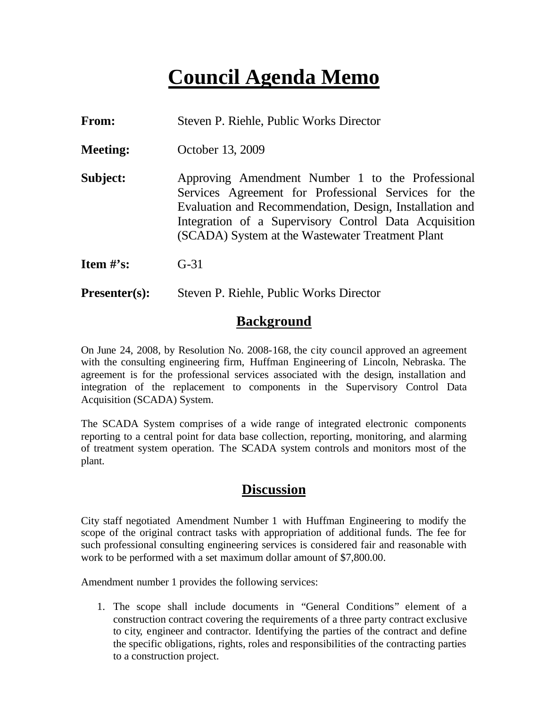## **Council Agenda Memo**

| From: |  |  |  | Steven P. Riehle, Public Works Director |
|-------|--|--|--|-----------------------------------------|
|-------|--|--|--|-----------------------------------------|

- **Meeting:** October 13, 2009
- **Subject:** Approving Amendment Number 1 to the Professional Services Agreement for Professional Services for the Evaluation and Recommendation, Design, Installation and Integration of a Supervisory Control Data Acquisition (SCADA) System at the Wastewater Treatment Plant
- **Item #'s:** G-31
- **Presenter(s):** Steven P. Riehle, Public Works Director

### **Background**

On June 24, 2008, by Resolution No. 2008-168, the city council approved an agreement with the consulting engineering firm, Huffman Engineering of Lincoln, Nebraska. The agreement is for the professional services associated with the design, installation and integration of the replacement to components in the Supervisory Control Data Acquisition (SCADA) System.

The SCADA System comprises of a wide range of integrated electronic components reporting to a central point for data base collection, reporting, monitoring, and alarming of treatment system operation. The SCADA system controls and monitors most of the plant.

### **Discussion**

City staff negotiated Amendment Number 1 with Huffman Engineering to modify the scope of the original contract tasks with appropriation of additional funds. The fee for such professional consulting engineering services is considered fair and reasonable with work to be performed with a set maximum dollar amount of \$7,800.00.

Amendment number 1 provides the following services:

1. The scope shall include documents in "General Conditions" element of a construction contract covering the requirements of a three party contract exclusive to city, engineer and contractor. Identifying the parties of the contract and define the specific obligations, rights, roles and responsibilities of the contracting parties to a construction project.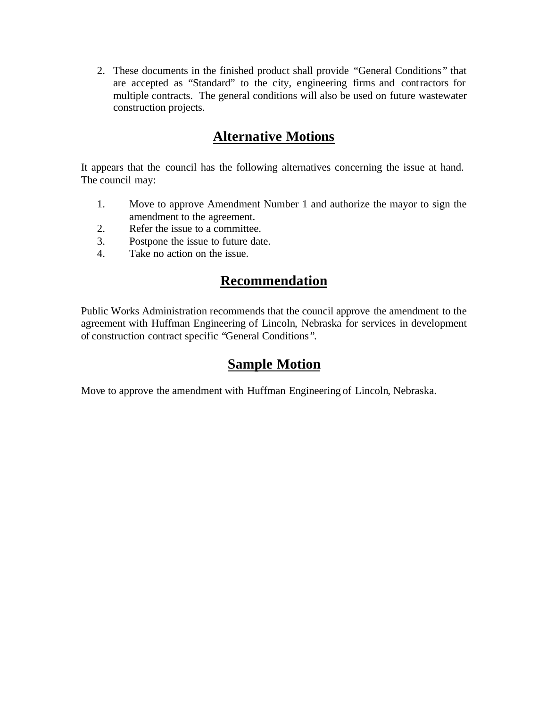2. These documents in the finished product shall provide "General Conditions " that are accepted as "Standard" to the city, engineering firms and contractors for multiple contracts. The general conditions will also be used on future wastewater construction projects.

## **Alternative Motions**

It appears that the council has the following alternatives concerning the issue at hand. The council may:

- 1. Move to approve Amendment Number 1 and authorize the mayor to sign the amendment to the agreement.
- 2. Refer the issue to a committee.
- 3. Postpone the issue to future date.
- 4. Take no action on the issue.

## **Recommendation**

Public Works Administration recommends that the council approve the amendment to the agreement with Huffman Engineering of Lincoln, Nebraska for services in development of construction contract specific "General Conditions ".

## **Sample Motion**

Move to approve the amendment with Huffman Engineering of Lincoln, Nebraska.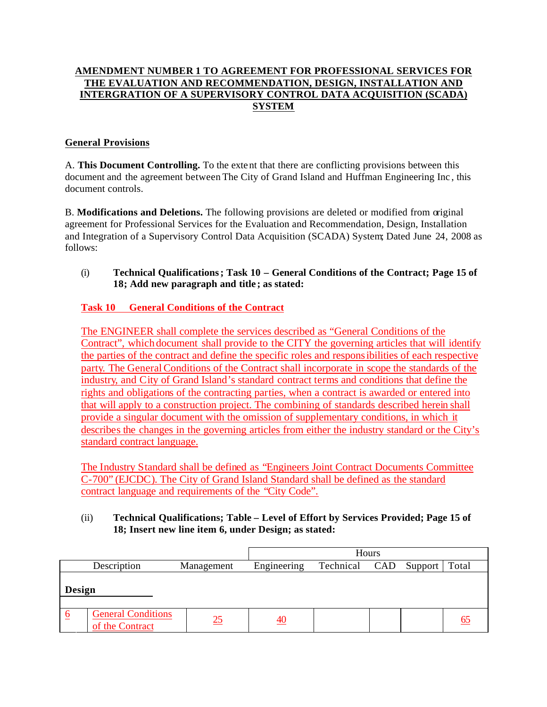#### **AMENDMENT NUMBER 1 TO AGREEMENT FOR PROFESSIONAL SERVICES FOR THE EVALUATION AND RECOMMENDATION, DESIGN, INSTALLATION AND INTERGRATION OF A SUPERVISORY CONTROL DATA ACQUISITION (SCADA) SYSTEM**

#### **General Provisions**

A. **This Document Controlling.** To the exte nt that there are conflicting provisions between this document and the agreement between The City of Grand Island and Huffman Engineering Inc , this document controls.

B. **Modifications and Deletions.** The following provisions are deleted or modified from original agreement for Professional Services for the Evaluation and Recommendation, Design, Installation and Integration of a Supervisory Control Data Acquisition (SCADA) System; Dated June 24, 2008 as follows:

#### (i) **Technical Qualifications; Task 10 – General Conditions of the Contract; Page 15 of 18; Add new paragraph and title ; as stated:**

#### **Task 10 General Conditions of the Contract**

The ENGINEER shall complete the services described as "General Conditions of the Contract", which document shall provide to the CITY the governing articles that will identify the parties of the contract and define the specific roles and responsibilities of each respective party. The General Conditions of the Contract shall incorporate in scope the standards of the industry, and City of Grand Island's standard contract terms and conditions that define the rights and obligations of the contracting parties, when a contract is awarded or entered into that will apply to a construction project. The combining of standards described herein shall provide a singular document with the omission of supplementary conditions, in which it describes the changes in the governing articles from either the industry standard or the City's standard contract language.

The Industry Standard shall be defined as "Engineers Joint Contract Documents Committee C-700" (EJCDC). The City of Grand Island Standard shall be defined as the standard contract language and requirements of the "City Code".

#### (ii) **Technical Qualifications; Table – Level of Effort by Services Provided; Page 15 of 18; Insert new line item 6, under Design; as stated:**

|                           |                                              |             | Hours           |  |         |       |  |  |
|---------------------------|----------------------------------------------|-------------|-----------------|--|---------|-------|--|--|
| Description<br>Management |                                              | Engineering | Technical CAD   |  | Support | Total |  |  |
| Design                    |                                              |             |                 |  |         |       |  |  |
| <u>_6</u>                 | <b>General Conditions</b><br>of the Contract | 25          | $\overline{40}$ |  |         |       |  |  |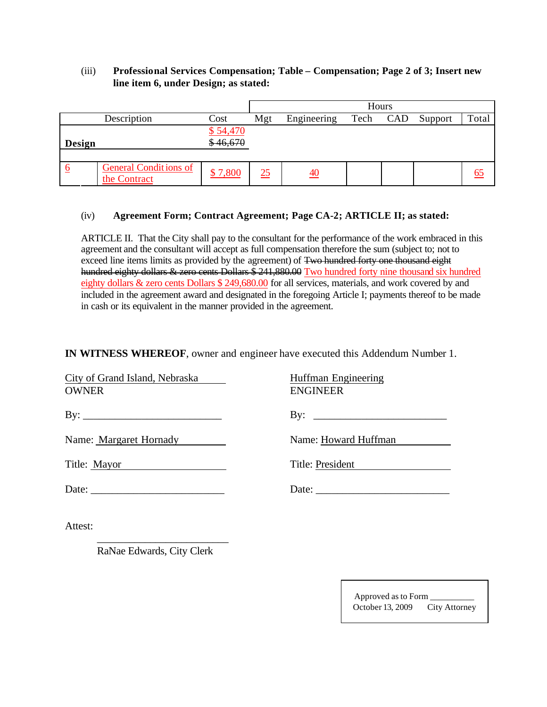#### (iii) **Professional Services Compensation; Table – Compensation; Page 2 of 3; Insert new line item 6, under Design; as stated:**

|                         |                                              |          | Hours |             |      |     |         |       |
|-------------------------|----------------------------------------------|----------|-------|-------------|------|-----|---------|-------|
|                         | Description                                  | Cost     | Mgt   | Engineering | Tech | CAD | Support | Total |
|                         |                                              | \$54,470 |       |             |      |     |         |       |
| Design                  |                                              | \$46,670 |       |             |      |     |         |       |
|                         |                                              |          |       |             |      |     |         |       |
| $\overline{\mathbf{o}}$ | <b>General Conditions of</b><br>the Contract | \$7,800  | 25    | <u>40</u>   |      |     |         |       |

#### (iv) **Agreement Form; Contract Agreement; Page CA-2; ARTICLE II; as stated:**

ARTICLE II. That the City shall pay to the consultant for the performance of the work embraced in this agreement and the consultant will accept as full compensation therefore the sum (subject to; not to exceed line items limits as provided by the agreement) of Two hundred forty one thousand eight hundred eighty dollars & zero cents Dollars \$ 241,880.00 Two hundred forty nine thousand six hundred eighty dollars & zero cents Dollars \$ 249,680.00 for all services, materials, and work covered by and included in the agreement award and designated in the foregoing Article I; payments thereof to be made in cash or its equivalent in the manner provided in the agreement.

**IN WITNESS WHEREOF**, owner and engineer have executed this Addendum Number 1.

| City of Grand Island, Nebraska<br><b>OWNER</b>                      | Huffman Engineering<br><b>ENGINEER</b> |
|---------------------------------------------------------------------|----------------------------------------|
|                                                                     |                                        |
| Name: Margaret Hornady                                              | Name: Howard Huffman                   |
| Title: Mayor<br><u> 1989 - Andrea Station, amerikansk politik (</u> | Title: President                       |
|                                                                     |                                        |
|                                                                     |                                        |

Attest:

RaNae Edwards, City Clerk

\_\_\_\_\_\_\_\_\_\_\_\_\_\_\_\_\_\_\_\_\_\_\_\_\_

Approved as to Form \_\_\_\_\_\_\_\_\_\_ October 13, 2009 City Attorney